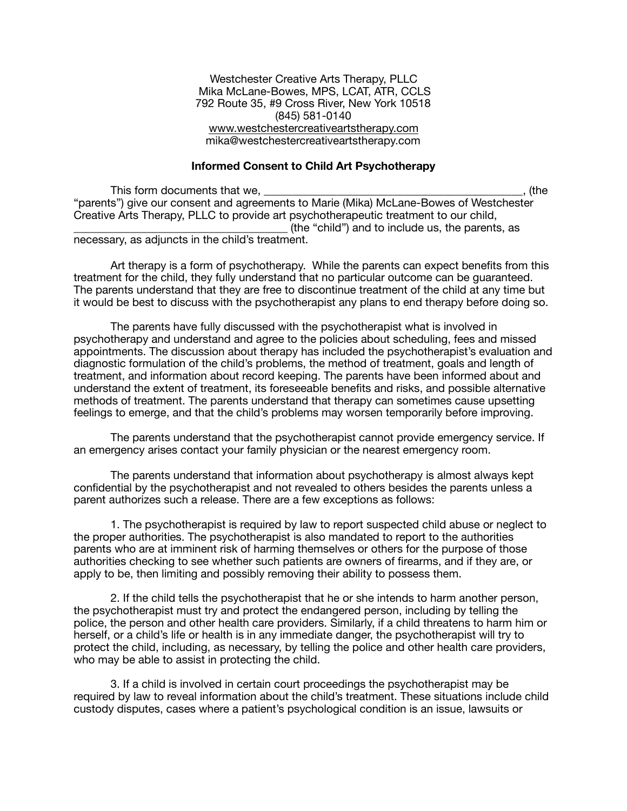Westchester Creative Arts Therapy, PLLC Mika McLane-Bowes, MPS, LCAT, ATR, CCLS 792 Route 35, #9 Cross River, New York 10518 (845) 581-0140 [www.westchestercreativeartstherapy.com](http://www.westchestercreativeartstherapy.com) mika@westchestercreativeartstherapy.com

# **Informed Consent to Child Art Psychotherapy**

This form documents that we, the contract of the contract of the contract of the contract of the contract of the contract of the contract of the contract of the contract of the contract of the contract of the contract of t "parents") give our consent and agreements to Marie (Mika) McLane-Bowes of Westchester Creative Arts Therapy, PLLC to provide art psychotherapeutic treatment to our child, \_\_\_\_\_\_\_\_\_\_\_\_\_\_\_\_\_\_\_\_\_\_\_\_\_\_\_\_\_\_\_\_\_\_\_\_\_\_ (the "child") and to include us, the parents, as necessary, as adjuncts in the child's treatment.

Art therapy is a form of psychotherapy. While the parents can expect benefits from this treatment for the child, they fully understand that no particular outcome can be guaranteed. The parents understand that they are free to discontinue treatment of the child at any time but it would be best to discuss with the psychotherapist any plans to end therapy before doing so.

The parents have fully discussed with the psychotherapist what is involved in psychotherapy and understand and agree to the policies about scheduling, fees and missed appointments. The discussion about therapy has included the psychotherapist's evaluation and diagnostic formulation of the child's problems, the method of treatment, goals and length of treatment, and information about record keeping. The parents have been informed about and understand the extent of treatment, its foreseeable benefits and risks, and possible alternative methods of treatment. The parents understand that therapy can sometimes cause upsetting feelings to emerge, and that the child's problems may worsen temporarily before improving.

The parents understand that the psychotherapist cannot provide emergency service. If an emergency arises contact your family physician or the nearest emergency room.

The parents understand that information about psychotherapy is almost always kept confidential by the psychotherapist and not revealed to others besides the parents unless a parent authorizes such a release. There are a few exceptions as follows:

1. The psychotherapist is required by law to report suspected child abuse or neglect to the proper authorities. The psychotherapist is also mandated to report to the authorities parents who are at imminent risk of harming themselves or others for the purpose of those authorities checking to see whether such patients are owners of firearms, and if they are, or apply to be, then limiting and possibly removing their ability to possess them.

2. If the child tells the psychotherapist that he or she intends to harm another person, the psychotherapist must try and protect the endangered person, including by telling the police, the person and other health care providers. Similarly, if a child threatens to harm him or herself, or a child's life or health is in any immediate danger, the psychotherapist will try to protect the child, including, as necessary, by telling the police and other health care providers, who may be able to assist in protecting the child.

3. If a child is involved in certain court proceedings the psychotherapist may be required by law to reveal information about the child's treatment. These situations include child custody disputes, cases where a patient's psychological condition is an issue, lawsuits or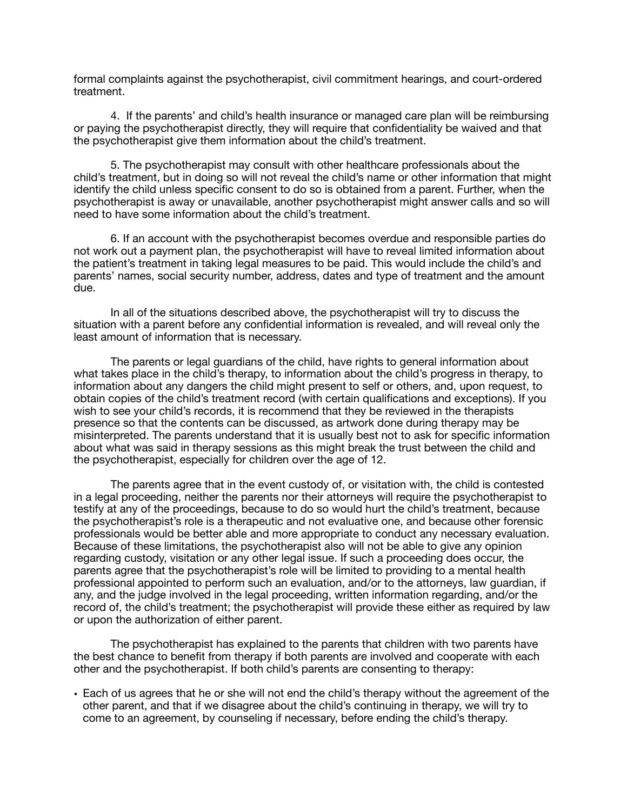formal complaints against the psychotherapist, civil commitment hearings, and court-ordered treatment.

4. If the parents' and child's health insurance or managed care plan will be reimbursing or paying the psychotherapist directly, they will require that confidentiality be waived and that the psychotherapist give them information about the child's treatment.

5. The psychotherapist may consult with other healthcare professionals about the child's treatment, but in doing so will not reveal the child's name or other information that might identify the child unless specific consent to do so is obtained from a parent. Further, when the psychotherapist is away or unavailable, another psychotherapist might answer calls and so will need to have some information about the child's treatment.

6. If an account with the psychotherapist becomes overdue and responsible parties do not work out a payment plan, the psychotherapist will have to reveal limited information about the patient's treatment in taking legal measures to be paid. This would include the child's and parents' names, social security number, address, dates and type of treatment and the amount due.

In all of the situations described above, the psychotherapist will try to discuss the situation with a parent before any confidential information is revealed, and will reveal only the least amount of information that is necessary.

The parents or legal guardians of the child, have rights to general information about what takes place in the child's therapy, to information about the child's progress in therapy, to information about any dangers the child might present to self or others, and, upon request, to obtain copies of the child's treatment record (with certain qualifications and exceptions). If you wish to see your child's records, it is recommend that they be reviewed in the therapists presence so that the contents can be discussed, as artwork done during therapy may be misinterpreted. The parents understand that it is usually best not to ask for specific information about what was said in therapy sessions as this might break the trust between the child and the psychotherapist, especially for children over the age of 12.

The parents agree that in the event custody of, or visitation with, the child is contested in a legal proceeding, neither the parents nor their attorneys will require the psychotherapist to testify at any of the proceedings, because to do so would hurt the child's treatment, because the psychotherapist's role is a therapeutic and not evaluative one, and because other forensic professionals would be better able and more appropriate to conduct any necessary evaluation. Because of these limitations, the psychotherapist also will not be able to give any opinion regarding custody, visitation or any other legal issue. If such a proceeding does occur, the parents agree that the psychotherapist's role will be limited to providing to a mental health professional appointed to perform such an evaluation, and/or to the attorneys, law guardian, if any, and the judge involved in the legal proceeding, written information regarding, and/or the record of, the child's treatment; the psychotherapist will provide these either as required by law or upon the authorization of either parent.

The psychotherapist has explained to the parents that children with two parents have the best chance to benefit from therapy if both parents are involved and cooperate with each other and the psychotherapist. If both child's parents are consenting to therapy:

• Each of us agrees that he or she will not end the child's therapy without the agreement of the other parent, and that if we disagree about the child's continuing in therapy, we will try to come to an agreement, by counseling if necessary, before ending the child's therapy.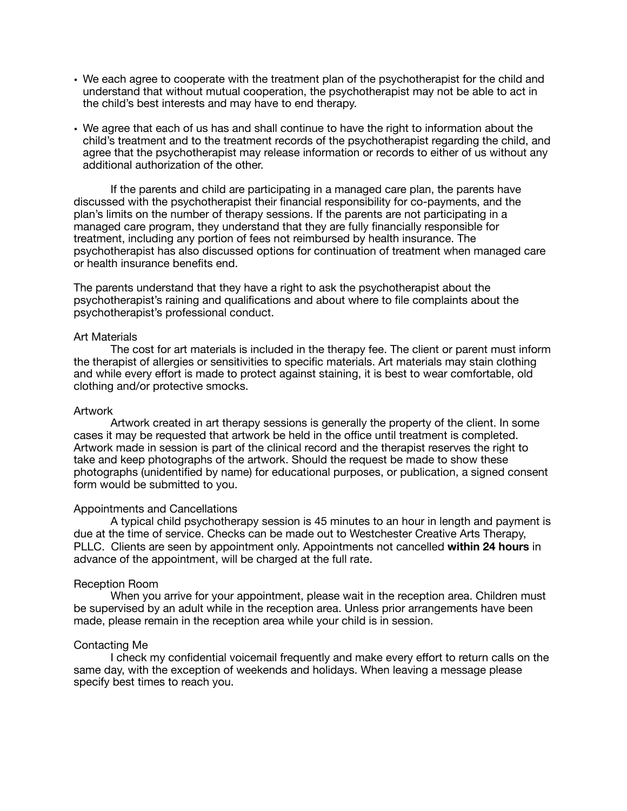- We each agree to cooperate with the treatment plan of the psychotherapist for the child and understand that without mutual cooperation, the psychotherapist may not be able to act in the child's best interests and may have to end therapy.
- We agree that each of us has and shall continue to have the right to information about the child's treatment and to the treatment records of the psychotherapist regarding the child, and agree that the psychotherapist may release information or records to either of us without any additional authorization of the other.

If the parents and child are participating in a managed care plan, the parents have discussed with the psychotherapist their financial responsibility for co-payments, and the plan's limits on the number of therapy sessions. If the parents are not participating in a managed care program, they understand that they are fully financially responsible for treatment, including any portion of fees not reimbursed by health insurance. The psychotherapist has also discussed options for continuation of treatment when managed care or health insurance benefits end.

The parents understand that they have a right to ask the psychotherapist about the psychotherapist's raining and qualifications and about where to file complaints about the psychotherapist's professional conduct.

### Art Materials

The cost for art materials is included in the therapy fee. The client or parent must inform the therapist of allergies or sensitivities to specific materials. Art materials may stain clothing and while every effort is made to protect against staining, it is best to wear comfortable, old clothing and/or protective smocks.

### Artwork

Artwork created in art therapy sessions is generally the property of the client. In some cases it may be requested that artwork be held in the office until treatment is completed. Artwork made in session is part of the clinical record and the therapist reserves the right to take and keep photographs of the artwork. Should the request be made to show these photographs (unidentified by name) for educational purposes, or publication, a signed consent form would be submitted to you.

# Appointments and Cancellations

A typical child psychotherapy session is 45 minutes to an hour in length and payment is due at the time of service. Checks can be made out to Westchester Creative Arts Therapy, PLLC. Clients are seen by appointment only. Appointments not cancelled **within 24 hours** in advance of the appointment, will be charged at the full rate.

# Reception Room

When you arrive for your appointment, please wait in the reception area. Children must be supervised by an adult while in the reception area. Unless prior arrangements have been made, please remain in the reception area while your child is in session.

# Contacting Me

I check my confidential voicemail frequently and make every effort to return calls on the same day, with the exception of weekends and holidays. When leaving a message please specify best times to reach you.